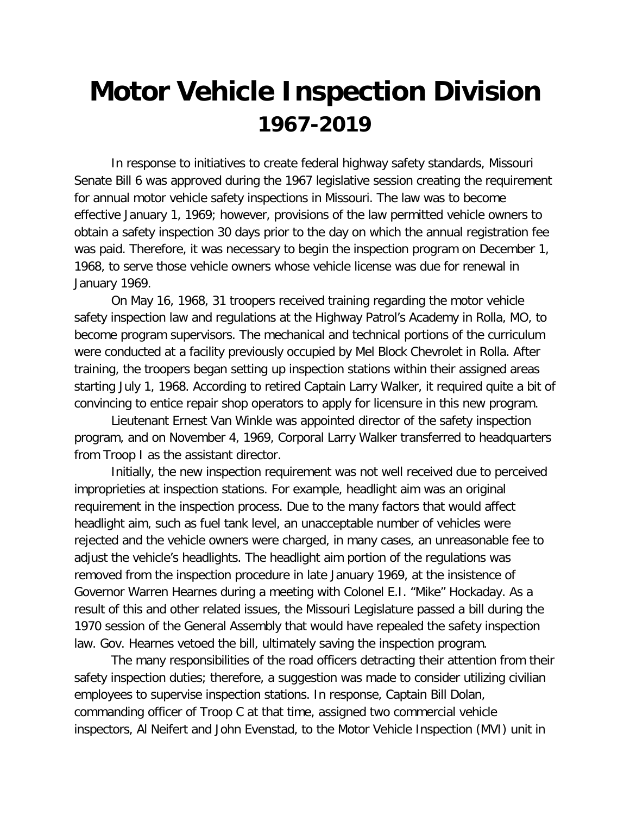## **Motor Vehicle Inspection Division 1967-2019**

In response to initiatives to create federal highway safety standards, Missouri Senate Bill 6 was approved during the 1967 legislative session creating the requirement for annual motor vehicle safety inspections in Missouri. The law was to become effective January 1, 1969; however, provisions of the law permitted vehicle owners to obtain a safety inspection 30 days prior to the day on which the annual registration fee was paid. Therefore, it was necessary to begin the inspection program on December 1, 1968, to serve those vehicle owners whose vehicle license was due for renewal in January 1969.

On May 16, 1968, 31 troopers received training regarding the motor vehicle safety inspection law and regulations at the Highway Patrol's Academy in Rolla, MO, to become program supervisors. The mechanical and technical portions of the curriculum were conducted at a facility previously occupied by Mel Block Chevrolet in Rolla. After training, the troopers began setting up inspection stations within their assigned areas starting July 1, 1968. According to retired Captain Larry Walker, it required quite a bit of convincing to entice repair shop operators to apply for licensure in this new program.

Lieutenant Ernest Van Winkle was appointed director of the safety inspection program, and on November 4, 1969, Corporal Larry Walker transferred to headquarters from Troop I as the assistant director.

Initially, the new inspection requirement was not well received due to perceived improprieties at inspection stations. For example, headlight aim was an original requirement in the inspection process. Due to the many factors that would affect headlight aim, such as fuel tank level, an unacceptable number of vehicles were rejected and the vehicle owners were charged, in many cases, an unreasonable fee to adjust the vehicle's headlights. The headlight aim portion of the regulations was removed from the inspection procedure in late January 1969, at the insistence of Governor Warren Hearnes during a meeting with Colonel E.I. "Mike" Hockaday. As a result of this and other related issues, the Missouri Legislature passed a bill during the 1970 session of the General Assembly that would have repealed the safety inspection law. Gov. Hearnes vetoed the bill, ultimately saving the inspection program.

The many responsibilities of the road officers detracting their attention from their safety inspection duties; therefore, a suggestion was made to consider utilizing civilian employees to supervise inspection stations. In response, Captain Bill Dolan, commanding officer of Troop C at that time, assigned two commercial vehicle inspectors, Al Neifert and John Evenstad, to the Motor Vehicle Inspection (MVI) unit in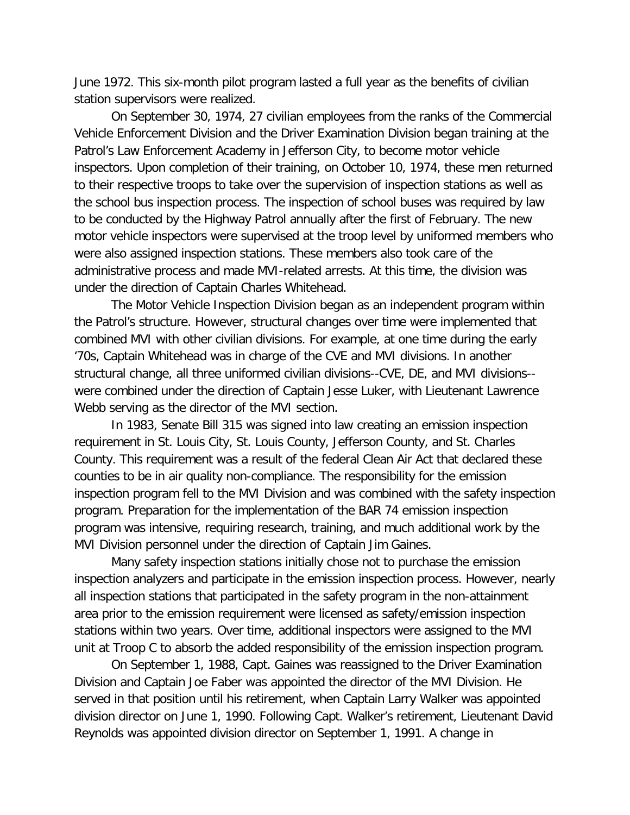June 1972. This six-month pilot program lasted a full year as the benefits of civilian station supervisors were realized.

On September 30, 1974, 27 civilian employees from the ranks of the Commercial Vehicle Enforcement Division and the Driver Examination Division began training at the Patrol's Law Enforcement Academy in Jefferson City, to become motor vehicle inspectors. Upon completion of their training, on October 10, 1974, these men returned to their respective troops to take over the supervision of inspection stations as well as the school bus inspection process. The inspection of school buses was required by law to be conducted by the Highway Patrol annually after the first of February. The new motor vehicle inspectors were supervised at the troop level by uniformed members who were also assigned inspection stations. These members also took care of the administrative process and made MVI-related arrests. At this time, the division was under the direction of Captain Charles Whitehead.

The Motor Vehicle Inspection Division began as an independent program within the Patrol's structure. However, structural changes over time were implemented that combined MVI with other civilian divisions. For example, at one time during the early '70s, Captain Whitehead was in charge of the CVE and MVI divisions. In another structural change, all three uniformed civilian divisions--CVE, DE, and MVI divisions- were combined under the direction of Captain Jesse Luker, with Lieutenant Lawrence Webb serving as the director of the MVI section.

In 1983, Senate Bill 315 was signed into law creating an emission inspection requirement in St. Louis City, St. Louis County, Jefferson County, and St. Charles County. This requirement was a result of the federal Clean Air Act that declared these counties to be in air quality non-compliance. The responsibility for the emission inspection program fell to the MVI Division and was combined with the safety inspection program. Preparation for the implementation of the BAR 74 emission inspection program was intensive, requiring research, training, and much additional work by the MVI Division personnel under the direction of Captain Jim Gaines.

Many safety inspection stations initially chose not to purchase the emission inspection analyzers and participate in the emission inspection process. However, nearly all inspection stations that participated in the safety program in the non-attainment area prior to the emission requirement were licensed as safety/emission inspection stations within two years. Over time, additional inspectors were assigned to the MVI unit at Troop C to absorb the added responsibility of the emission inspection program.

On September 1, 1988, Capt. Gaines was reassigned to the Driver Examination Division and Captain Joe Faber was appointed the director of the MVI Division. He served in that position until his retirement, when Captain Larry Walker was appointed division director on June 1, 1990. Following Capt. Walker's retirement, Lieutenant David Reynolds was appointed division director on September 1, 1991. A change in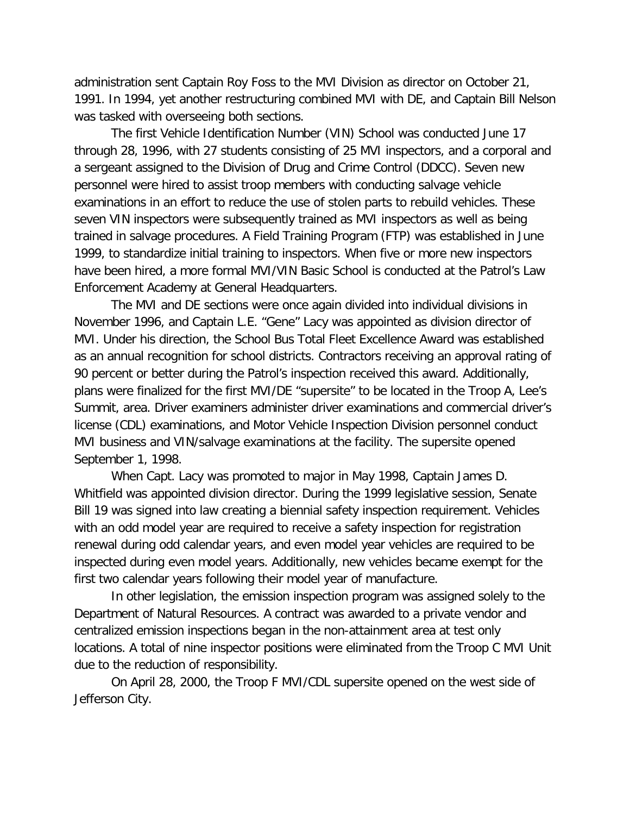administration sent Captain Roy Foss to the MVI Division as director on October 21, 1991. In 1994, yet another restructuring combined MVI with DE, and Captain Bill Nelson was tasked with overseeing both sections.

The first Vehicle Identification Number (VIN) School was conducted June 17 through 28, 1996, with 27 students consisting of 25 MVI inspectors, and a corporal and a sergeant assigned to the Division of Drug and Crime Control (DDCC). Seven new personnel were hired to assist troop members with conducting salvage vehicle examinations in an effort to reduce the use of stolen parts to rebuild vehicles. These seven VIN inspectors were subsequently trained as MVI inspectors as well as being trained in salvage procedures. A Field Training Program (FTP) was established in June 1999, to standardize initial training to inspectors. When five or more new inspectors have been hired, a more formal MVI/VIN Basic School is conducted at the Patrol's Law Enforcement Academy at General Headquarters.

The MVI and DE sections were once again divided into individual divisions in November 1996, and Captain L.E. "Gene" Lacy was appointed as division director of MVI. Under his direction, the School Bus Total Fleet Excellence Award was established as an annual recognition for school districts. Contractors receiving an approval rating of 90 percent or better during the Patrol's inspection received this award. Additionally, plans were finalized for the first MVI/DE "supersite" to be located in the Troop A, Lee's Summit, area. Driver examiners administer driver examinations and commercial driver's license (CDL) examinations, and Motor Vehicle Inspection Division personnel conduct MVI business and VIN/salvage examinations at the facility. The supersite opened September 1, 1998.

When Capt. Lacy was promoted to major in May 1998, Captain James D. Whitfield was appointed division director. During the 1999 legislative session, Senate Bill 19 was signed into law creating a biennial safety inspection requirement. Vehicles with an odd model year are required to receive a safety inspection for registration renewal during odd calendar years, and even model year vehicles are required to be inspected during even model years. Additionally, new vehicles became exempt for the first two calendar years following their model year of manufacture.

In other legislation, the emission inspection program was assigned solely to the Department of Natural Resources. A contract was awarded to a private vendor and centralized emission inspections began in the non-attainment area at test only locations. A total of nine inspector positions were eliminated from the Troop C MVI Unit due to the reduction of responsibility.

On April 28, 2000, the Troop F MVI/CDL supersite opened on the west side of Jefferson City.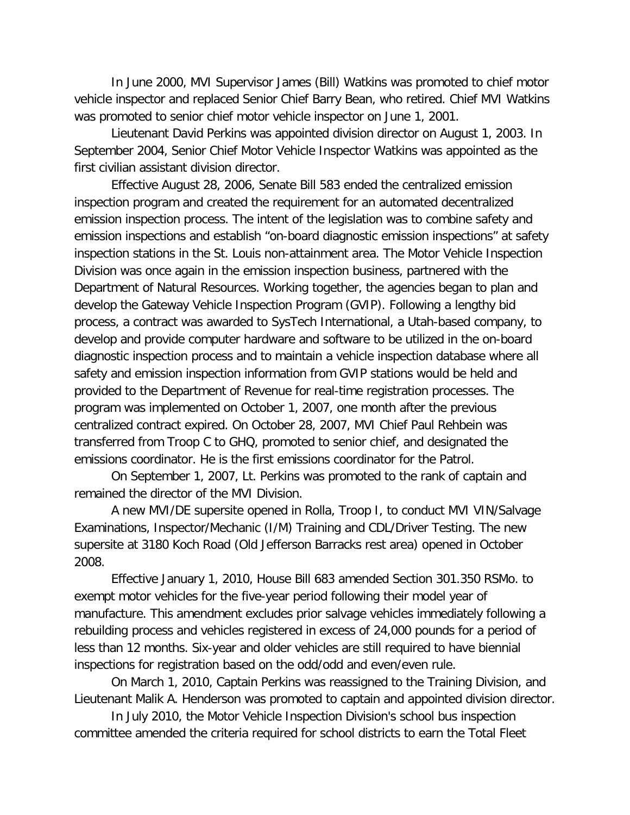In June 2000, MVI Supervisor James (Bill) Watkins was promoted to chief motor vehicle inspector and replaced Senior Chief Barry Bean, who retired. Chief MVI Watkins was promoted to senior chief motor vehicle inspector on June 1, 2001.

Lieutenant David Perkins was appointed division director on August 1, 2003. In September 2004, Senior Chief Motor Vehicle Inspector Watkins was appointed as the first civilian assistant division director.

Effective August 28, 2006, Senate Bill 583 ended the centralized emission inspection program and created the requirement for an automated decentralized emission inspection process. The intent of the legislation was to combine safety and emission inspections and establish "on-board diagnostic emission inspections" at safety inspection stations in the St. Louis non-attainment area. The Motor Vehicle Inspection Division was once again in the emission inspection business, partnered with the Department of Natural Resources. Working together, the agencies began to plan and develop the Gateway Vehicle Inspection Program (GVIP). Following a lengthy bid process, a contract was awarded to SysTech International, a Utah-based company, to develop and provide computer hardware and software to be utilized in the on-board diagnostic inspection process and to maintain a vehicle inspection database where all safety and emission inspection information from GVIP stations would be held and provided to the Department of Revenue for real-time registration processes. The program was implemented on October 1, 2007, one month after the previous centralized contract expired. On October 28, 2007, MVI Chief Paul Rehbein was transferred from Troop C to GHQ, promoted to senior chief, and designated the emissions coordinator. He is the first emissions coordinator for the Patrol.

On September 1, 2007, Lt. Perkins was promoted to the rank of captain and remained the director of the MVI Division.

A new MVI/DE supersite opened in Rolla, Troop I, to conduct MVI VIN/Salvage Examinations, Inspector/Mechanic (I/M) Training and CDL/Driver Testing. The new supersite at 3180 Koch Road (Old Jefferson Barracks rest area) opened in October 2008.

Effective January 1, 2010, House Bill 683 amended Section 301.350 RSMo. to exempt motor vehicles for the five-year period following their model year of manufacture. This amendment excludes prior salvage vehicles immediately following a rebuilding process and vehicles registered in excess of 24,000 pounds for a period of less than 12 months. Six-year and older vehicles are still required to have biennial inspections for registration based on the odd/odd and even/even rule.

On March 1, 2010, Captain Perkins was reassigned to the Training Division, and Lieutenant Malik A. Henderson was promoted to captain and appointed division director.

 In July 2010, the Motor Vehicle Inspection Division's school bus inspection committee amended the criteria required for school districts to earn the Total Fleet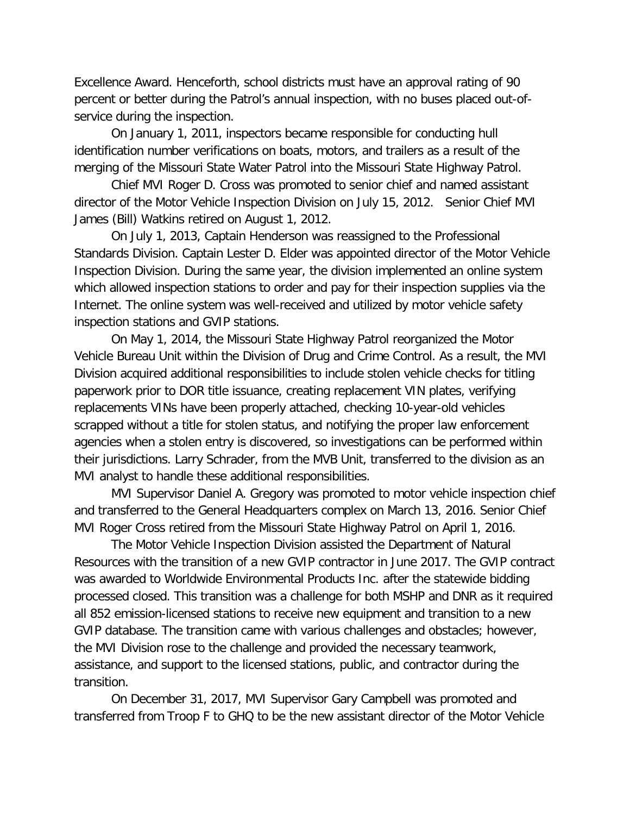Excellence Award. Henceforth, school districts must have an approval rating of 90 percent or better during the Patrol's annual inspection, with no buses placed out-ofservice during the inspection.

On January 1, 2011, inspectors became responsible for conducting hull identification number verifications on boats, motors, and trailers as a result of the merging of the Missouri State Water Patrol into the Missouri State Highway Patrol.

Chief MVI Roger D. Cross was promoted to senior chief and named assistant director of the Motor Vehicle Inspection Division on July 15, 2012. Senior Chief MVI James (Bill) Watkins retired on August 1, 2012.

On July 1, 2013, Captain Henderson was reassigned to the Professional Standards Division. Captain Lester D. Elder was appointed director of the Motor Vehicle Inspection Division. During the same year, the division implemented an online system which allowed inspection stations to order and pay for their inspection supplies via the Internet. The online system was well-received and utilized by motor vehicle safety inspection stations and GVIP stations.

On May 1, 2014, the Missouri State Highway Patrol reorganized the Motor Vehicle Bureau Unit within the Division of Drug and Crime Control. As a result, the MVI Division acquired additional responsibilities to include stolen vehicle checks for titling paperwork prior to DOR title issuance, creating replacement VIN plates, verifying replacements VINs have been properly attached, checking 10-year-old vehicles scrapped without a title for stolen status, and notifying the proper law enforcement agencies when a stolen entry is discovered, so investigations can be performed within their jurisdictions. Larry Schrader, from the MVB Unit, transferred to the division as an MVI analyst to handle these additional responsibilities.

MVI Supervisor Daniel A. Gregory was promoted to motor vehicle inspection chief and transferred to the General Headquarters complex on March 13, 2016. Senior Chief MVI Roger Cross retired from the Missouri State Highway Patrol on April 1, 2016.

The Motor Vehicle Inspection Division assisted the Department of Natural Resources with the transition of a new GVIP contractor in June 2017. The GVIP contract was awarded to Worldwide Environmental Products Inc. after the statewide bidding processed closed. This transition was a challenge for both MSHP and DNR as it required all 852 emission-licensed stations to receive new equipment and transition to a new GVIP database. The transition came with various challenges and obstacles; however, the MVI Division rose to the challenge and provided the necessary teamwork, assistance, and support to the licensed stations, public, and contractor during the transition.

On December 31, 2017, MVI Supervisor Gary Campbell was promoted and transferred from Troop F to GHQ to be the new assistant director of the Motor Vehicle